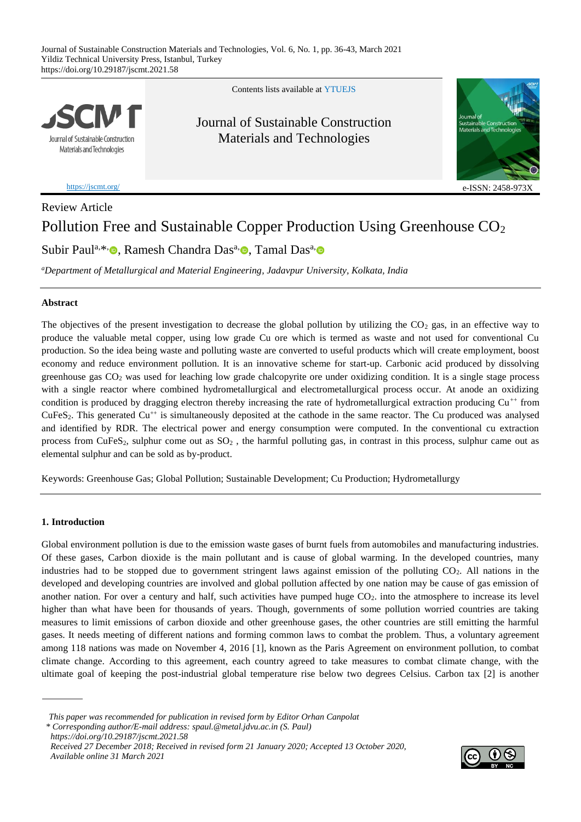

<https://jscmt.org/>

Contents lists available at [YTUE](https://eds.yildiz.edu.tr/jscmt)JS

Journal of Sustainable Construction Materials and Technologies



e-ISSN: 2458-973X

# Review Article Pollution Free and Sustainable Copper Production Using Greenhouse CO<sub>2</sub>

Subir Paul<sup>a[,](https://orcid.org/0000-0002-6211-6127)\*,</sup> D, Ramesh Chandra Das<sup>a,</sup> D, Tamal Das<sup>a,</sup>

*<sup>a</sup>Department of Metallurgical and Material Engineering, Jadavpur University, Kolkata, India*

# **Abstract**

The objectives of the present investigation to decrease the global pollution by utilizing the  $CO<sub>2</sub>$  gas, in an effective way to produce the valuable metal copper, using low grade Cu ore which is termed as waste and not used for conventional Cu production. So the idea being waste and polluting waste are converted to useful products which will create employment, boost economy and reduce environment pollution. It is an innovative scheme for start-up. Carbonic acid produced by dissolving greenhouse gas CO<sup>2</sup> was used for leaching low grade chalcopyrite ore under oxidizing condition. It is a single stage process with a single reactor where combined hydrometallurgical and electrometallurgical process occur. At anode an oxidizing condition is produced by dragging electron thereby increasing the rate of hydrometallurgical extraction producing  $Cu^{++}$  from  $CuFeS<sub>2</sub>$ . This generated  $Cu<sup>++</sup>$  is simultaneously deposited at the cathode in the same reactor. The Cu produced was analysed and identified by RDR. The electrical power and energy consumption were computed. In the conventional cu extraction process from CuFeS<sub>2</sub>, sulphur come out as  $SO_2$ , the harmful polluting gas, in contrast in this process, sulphur came out as elemental sulphur and can be sold as by-product.

Keywords: Greenhouse Gas; Global Pollution; Sustainable Development; Cu Production; Hydrometallurgy

# **1. Introduction**

Global environment pollution is due to the emission waste gases of burnt fuels from automobiles and manufacturing industries. Of these gases, Carbon dioxide is the main pollutant and is cause of global warming. In the developed countries, many industries had to be stopped due to government stringent laws against emission of the polluting CO<sub>2</sub>. All nations in the developed and developing countries are involved and global pollution affected by one nation may be cause of gas emission of another nation. For over a century and half, such activities have pumped huge  $CO<sub>2</sub>$  into the atmosphere to increase its level higher than what have been for thousands of years. Though, governments of some pollution worried countries are taking measures to limit emissions of carbon dioxide and other greenhouse gases, the other countries are still emitting the harmful gases. It needs meeting of different nations and forming common laws to combat the problem. Thus, a voluntary agreement among 118 nations was made on November 4, 2016 [1], known as the Paris Agreement on environment pollution, to combat climate change. According to this agreement, each country agreed to take measures to combat climate change, with the ultimate goal of keeping the post-industrial global temperature rise below two degrees Celsius. Carbon tax [2] is another



*This paper was recommended for publication in revised form by Editor Orhan Canpolat \* Corresponding author/E-mail address: [spaul.@metal.jdvu.ac.in](mailto:spaul.@metal.jdvu.ac.in) (S. Paul) <https://doi.org/10.29187/jscmt.2021.58>*

*Received 27 December 2018; Received in revised form 21 January 2020; Accepted 13 October 2020, Available online 31 March 2021*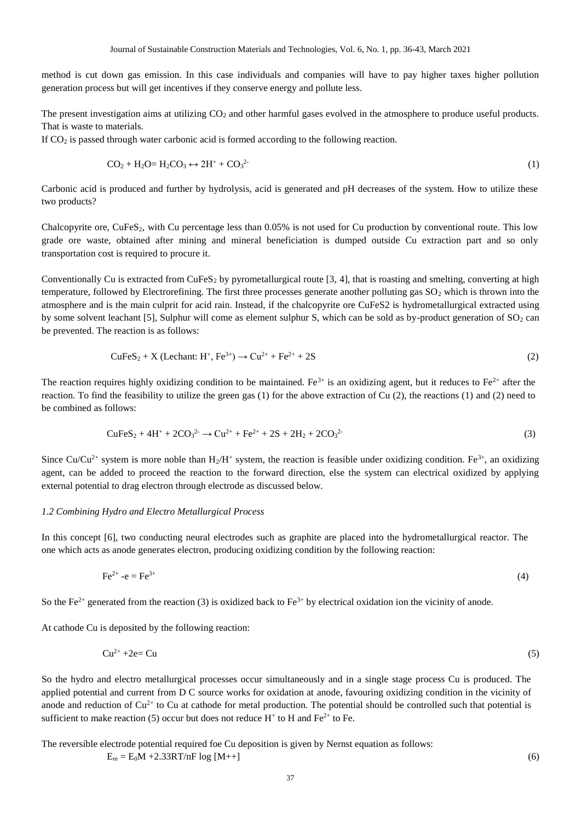method is cut down gas emission. In this case individuals and companies will have to pay higher taxes higher pollution generation process but will get incentives if they conserve energy and pollute less.

The present investigation aims at utilizing  $CO<sub>2</sub>$  and other harmful gases evolved in the atmosphere to produce useful products. That is waste to materials.

If CO<sup>2</sup> is passed through water carbonic acid is formed according to the following reaction.

$$
CO_2 + H_2O = H_2CO_3 \leftrightarrow 2H^+ + CO_3^{2}
$$
 (1)

Carbonic acid is produced and further by hydrolysis, acid is generated and pH decreases of the system. How to utilize these two products?

Chalcopyrite ore, CuFeS<sub>2</sub>, with Cu percentage less than 0.05% is not used for Cu production by conventional route. This low grade ore waste, obtained after mining and mineral beneficiation is dumped outside Cu extraction part and so only transportation cost is required to procure it.

Conventionally Cu is extracted from CuFeS<sub>2</sub> by pyrometallurgical route [3, 4], that is roasting and smelting, converting at high temperature, followed by Electrorefining. The first three processes generate another polluting gas  $SO_2$  which is thrown into the atmosphere and is the main culprit for acid rain. Instead, if the chalcopyrite ore CuFeS2 is hydrometallurgical extracted using by some solvent leachant [5], Sulphur will come as element sulphur S, which can be sold as by-product generation of  $SO_2$  can be prevented. The reaction is as follows:

$$
\text{CuFeS}_2 + X \text{ (Lechant: H+, Fe3+)} \rightarrow \text{Cu}^{2+} + \text{Fe}^{2+} + 2\text{S}
$$
 (2)

The reaction requires highly oxidizing condition to be maintained. Fe<sup>3+</sup> is an oxidizing agent, but it reduces to Fe<sup>2+</sup> after the reaction. To find the feasibility to utilize the green gas (1) for the above extraction of Cu (2), the reactions (1) and (2) need to be combined as follows:

$$
CuFeS2 + 4H+ + 2CO32 \to Cu2+ + Fe2+ + 2S + 2H2 + 2CO32
$$
 (3)

Since Cu/Cu<sup>2+</sup> system is more noble than  $H_2/H^+$  system, the reaction is feasible under oxidizing condition. Fe<sup>3+</sup>, an oxidizing agent, can be added to proceed the reaction to the forward direction, else the system can electrical oxidized by applying external potential to drag electron through electrode as discussed below.

### *1.2 Combining Hydro and Electro Metallurgical Process*

In this concept [6], two conducting neural electrodes such as graphite are placed into the hydrometallurgical reactor. The one which acts as anode generates electron, producing oxidizing condition by the following reaction:

$$
\text{Fe}^{2+} \text{-e} = \text{Fe}^{3+} \tag{4}
$$

So the Fe<sup>2+</sup> generated from the reaction (3) is oxidized back to Fe<sup>3+</sup> by electrical oxidation ion the vicinity of anode.

At cathode Cu is deposited by the following reaction:

$$
Cu^{2+} + 2e = Cu \tag{5}
$$

So the hydro and electro metallurgical processes occur simultaneously and in a single stage process Cu is produced. The applied potential and current from D C source works for oxidation at anode, favouring oxidizing condition in the vicinity of anode and reduction of  $Cu^{2+}$  to Cu at cathode for metal production. The potential should be controlled such that potential is sufficient to make reaction (5) occur but does not reduce  $H^+$  to H and  $Fe^{2+}$  to Fe.

The reversible electrode potential required foe Cu deposition is given by Nernst equation as follows:

 $E_{re} = E_0M + 2.33RT/nF \log[M++]$  (6)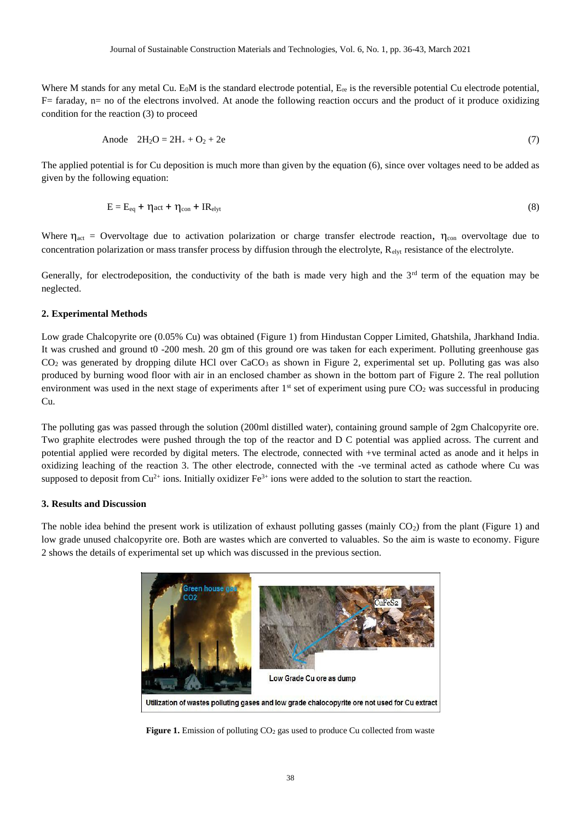Where M stands for any metal Cu. E<sub>0</sub>M is the standard electrode potential,  $E_{re}$  is the reversible potential Cu electrode potential, F= faraday, n= no of the electrons involved. At anode the following reaction occurs and the product of it produce oxidizing condition for the reaction (3) to proceed

$$
Anode \t2H_2O = 2H_+ + O_2 + 2e \t(7)
$$

The applied potential is for Cu deposition is much more than given by the equation (6), since over voltages need to be added as given by the following equation:

$$
E = E_{eq} + \eta_{act} + \eta_{con} + IR_{elyt}
$$
 (8)

Where  $\eta_{\text{act}}$  = Overvoltage due to activation polarization or charge transfer electrode reaction,  $\eta_{\text{con}}$  overvoltage due to concentration polarization or mass transfer process by diffusion through the electrolyte, Relyt resistance of the electrolyte.

Generally, for electrodeposition, the conductivity of the bath is made very high and the  $3<sup>rd</sup>$  term of the equation may be neglected.

## **2. Experimental Methods**

Low grade Chalcopyrite ore (0.05% Cu) was obtained (Figure 1) from Hindustan Copper Limited, Ghatshila, Jharkhand India. It was crushed and ground t0 -200 mesh. 20 gm of this ground ore was taken for each experiment. Polluting greenhouse gas  $CO<sub>2</sub>$  was generated by dropping dilute HCl over  $CaCO<sub>3</sub>$  as shown in Figure 2, experimental set up. Polluting gas was also produced by burning wood floor with air in an enclosed chamber as shown in the bottom part of Figure 2. The real pollution environment was used in the next stage of experiments after  $1<sup>st</sup>$  set of experiment using pure  $CO<sub>2</sub>$  was successful in producing Cu.

The polluting gas was passed through the solution (200ml distilled water), containing ground sample of 2gm Chalcopyrite ore. Two graphite electrodes were pushed through the top of the reactor and D C potential was applied across. The current and potential applied were recorded by digital meters. The electrode, connected with +ve terminal acted as anode and it helps in oxidizing leaching of the reaction 3. The other electrode, connected with the -ve terminal acted as cathode where Cu was supposed to deposit from  $Cu^{2+}$  ions. Initially oxidizer  $Fe^{3+}$  ions were added to the solution to start the reaction.

#### **3. Results and Discussion**

The noble idea behind the present work is utilization of exhaust polluting gasses (mainly  $CO<sub>2</sub>$ ) from the plant (Figure 1) and low grade unused chalcopyrite ore. Both are wastes which are converted to valuables. So the aim is waste to economy. Figure 2 shows the details of experimental set up which was discussed in the previous section.



Figure 1. Emission of polluting CO<sub>2</sub> gas used to produce Cu collected from waste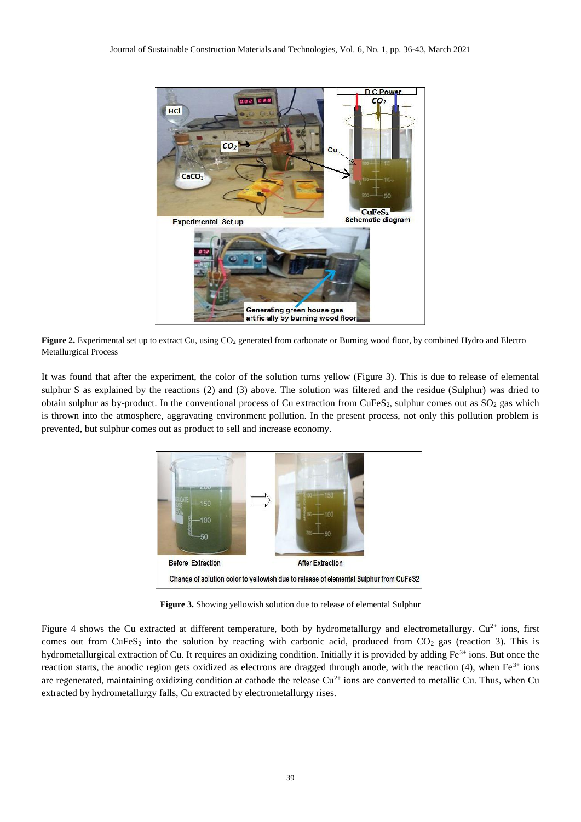

**Figure 2.** Experimental set up to extract Cu, using CO<sup>2</sup> generated from carbonate or Burning wood floor, by combined Hydro and Electro Metallurgical Process

It was found that after the experiment, the color of the solution turns yellow (Figure 3). This is due to release of elemental sulphur S as explained by the reactions (2) and (3) above. The solution was filtered and the residue (Sulphur) was dried to obtain sulphur as by-product. In the conventional process of Cu extraction from CuFeS<sub>2</sub>, sulphur comes out as  $SO_2$  gas which is thrown into the atmosphere, aggravating environment pollution. In the present process, not only this pollution problem is prevented, but sulphur comes out as product to sell and increase economy.



**Figure 3.** Showing yellowish solution due to release of elemental Sulphur

Figure 4 shows the Cu extracted at different temperature, both by hydrometallurgy and electrometallurgy.  $Cu^{2+}$  ions, first comes out from CuFeS<sub>2</sub> into the solution by reacting with carbonic acid, produced from  $CO_2$  gas (reaction 3). This is hydrometallurgical extraction of Cu. It requires an oxidizing condition. Initially it is provided by adding Fe<sup>3+</sup> ions. But once the reaction starts, the anodic region gets oxidized as electrons are dragged through anode, with the reaction (4), when  $Fe<sup>3+</sup>$  ions are regenerated, maintaining oxidizing condition at cathode the release  $Cu^{2+}$  ions are converted to metallic Cu. Thus, when Cu extracted by hydrometallurgy falls, Cu extracted by electrometallurgy rises.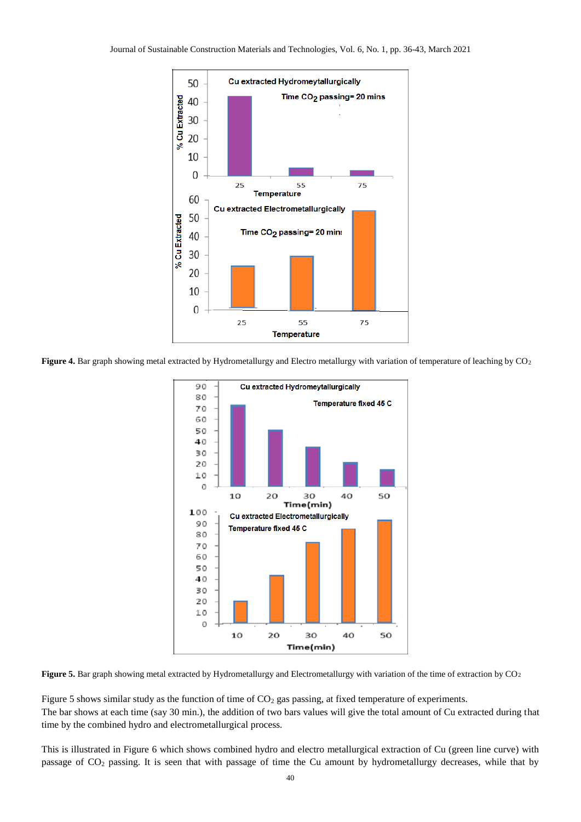

Figure 4. Bar graph showing metal extracted by Hydrometallurgy and Electro metallurgy with variation of temperature of leaching by CO<sub>2</sub>



Figure 5. Bar graph showing metal extracted by Hydrometallurgy and Electrometallurgy with variation of the time of extraction by CO<sub>2</sub>

Figure 5 shows similar study as the function of time of CO<sub>2</sub> gas passing, at fixed temperature of experiments. The bar shows at each time (say 30 min.), the addition of two bars values will give the total amount of Cu extracted during that time by the combined hydro and electrometallurgical process.

This is illustrated in Figure 6 which shows combined hydro and electro metallurgical extraction of Cu (green line curve) with passage of CO<sup>2</sup> passing. It is seen that with passage of time the Cu amount by hydrometallurgy decreases, while that by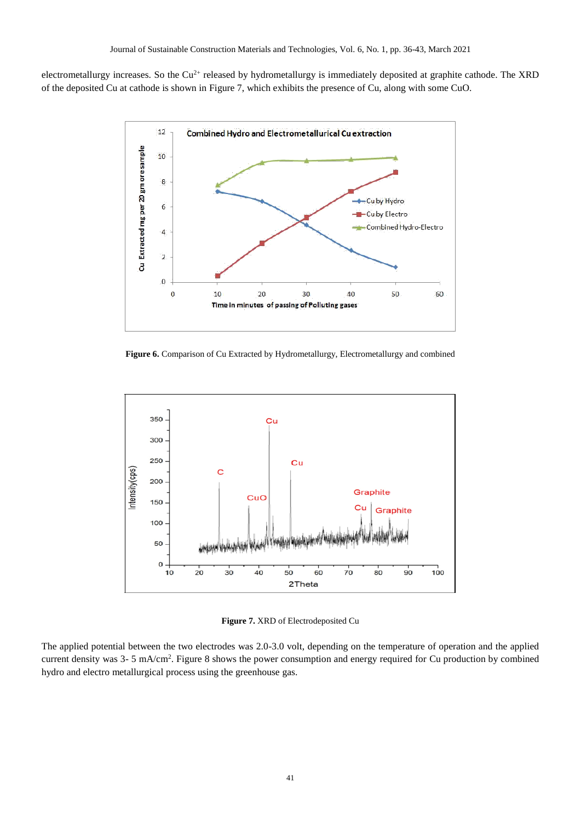electrometallurgy increases. So the  $Cu^{2+}$  released by hydrometallurgy is immediately deposited at graphite cathode. The XRD of the deposited Cu at cathode is shown in Figure 7, which exhibits the presence of Cu, along with some CuO.



**Figure 6.** Comparison of Cu Extracted by Hydrometallurgy, Electrometallurgy and combined



**Figure 7.** XRD of Electrodeposited Cu

The applied potential between the two electrodes was 2.0-3.0 volt, depending on the temperature of operation and the applied current density was 3- 5 mA/cm<sup>2</sup>. Figure 8 shows the power consumption and energy required for Cu production by combined hydro and electro metallurgical process using the greenhouse gas.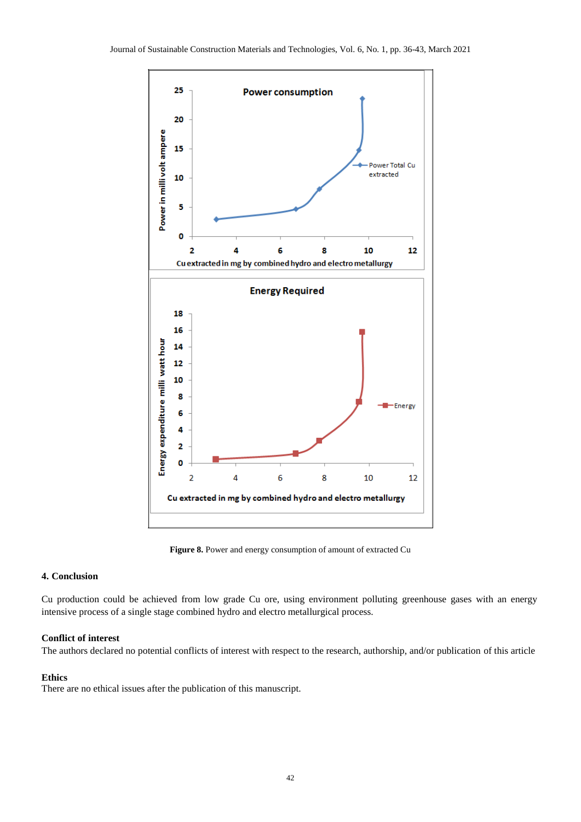

**Figure 8.** Power and energy consumption of amount of extracted Cu

# **4. Conclusion**

Cu production could be achieved from low grade Cu ore, using environment polluting greenhouse gases with an energy intensive process of a single stage combined hydro and electro metallurgical process.

## **Conflict of interest**

The authors declared no potential conflicts of interest with respect to the research, authorship, and/or publication of this article

### **Ethics**

There are no ethical issues after the publication of this manuscript.